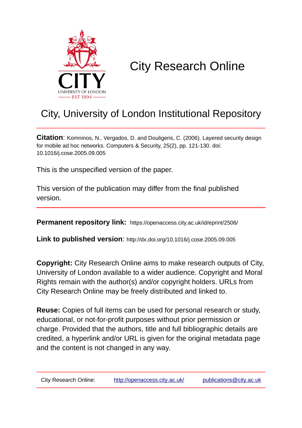

# City Research Online

## City, University of London Institutional Repository

**Citation**: Komninos, N., Vergados, D. and Douligeris, C. (2006). Layered security design for mobile ad hoc networks. Computers & Security, 25(2), pp. 121-130. doi: 10.1016/j.cose.2005.09.005

This is the unspecified version of the paper.

This version of the publication may differ from the final published version.

**Permanent repository link:** https://openaccess.city.ac.uk/id/eprint/2506/

**Link to published version**: http://dx.doi.org/10.1016/j.cose.2005.09.005

**Copyright:** City Research Online aims to make research outputs of City, University of London available to a wider audience. Copyright and Moral Rights remain with the author(s) and/or copyright holders. URLs from City Research Online may be freely distributed and linked to.

**Reuse:** Copies of full items can be used for personal research or study, educational, or not-for-profit purposes without prior permission or charge. Provided that the authors, title and full bibliographic details are credited, a hyperlink and/or URL is given for the original metadata page and the content is not changed in any way.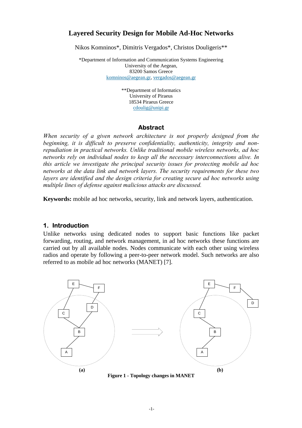#### **Layered Security Design for Mobile Ad-Hoc Networks**

Nikos Komninos\*, Dimitris Vergados\*, Christos Douligeris\*\*

\*Department of Information and Communication Systems Engineering University of the Aegean, 83200 Samos Greece [komninos@aegean.gr,](mailto:Komninos@aegean.gr) [vergados@aegean.gr](mailto:vergados@aegean.gr)

> \*\*Department of Informatics University of Piraeus 18534 Piraeus Greece [cdoulig@unipi.gr](mailto:cdoulig@unipi.gr)

#### **Abstract**

*When security of a given network architecture is not properly designed from the beginning, it is difficult to preserve confidentiality, authenticity, integrity and nonrepudiation in practical networks. Unlike traditional mobile wireless networks, ad hoc networks rely on individual nodes to keep all the necessary interconnections alive. In this article we investigate the principal security issues for protecting mobile ad hoc networks at the data link and network layers. The security requirements for these two layers are identified and the design criteria for creating secure ad hoc networks using multiple lines of defense against malicious attacks are discussed.*

**Keywords:** mobile ad hoc networks, security, link and network layers, authentication.

#### **1. Introduction**

Unlike networks using dedicated nodes to support basic functions like packet forwarding, routing, and network management, in ad hoc networks these functions are carried out by all available nodes. Nodes communicate with each other using wireless radios and operate by following a peer-to-peer network model. Such networks are also referred to as mobile ad hoc networks (MANET) [7].



**Figure 1 - Topology changes in MANET**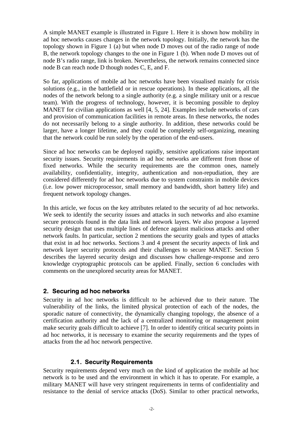A simple MANET example is illustrated in Figure 1. Here it is shown how mobility in ad hoc networks causes changes in the network topology. Initially, the network has the topology shown in Figure 1 (a) but when node D moves out of the radio range of node B, the network topology changes to the one in Figure 1 (b). When node D moves out of node B's radio range, link is broken. Nevertheless, the network remains connected since node B can reach node D though nodes C, E, and F.

So far, applications of mobile ad hoc networks have been visualised mainly for crisis solutions (e.g., in the battlefield or in rescue operations). In these applications, all the nodes of the network belong to a single authority (e.g. a single military unit or a rescue team). With the progress of technology, however, it is becoming possible to deploy MANET for civilian applications as well [4, 5, 24]. Examples include networks of cars and provision of communication facilities in remote areas. In these networks, the nodes do not necessarily belong to a single authority. In addition, these networks could be larger, have a longer lifetime, and they could be completely self-organizing, meaning that the network could be run solely by the operation of the end-users.

Since ad hoc networks can be deployed rapidly, sensitive applications raise important security issues. Security requirements in ad hoc networks are different from those of fixed networks. While the security requirements are the common ones, namely availability, confidentiality, integrity, authentication and non-repudiation, they are considered differently for ad hoc networks due to system constraints in mobile devices (i.e. low power microprocessor, small memory and bandwidth, short battery life) and frequent network topology changes.

In this article, we focus on the key attributes related to the security of ad hoc networks. We seek to identify the security issues and attacks in such networks and also examine secure protocols found in the data link and network layers. We also propose a layered security design that uses multiple lines of defence against malicious attacks and other network faults. In particular, section 2 mentions the security goals and types of attacks that exist in ad hoc networks. Sections 3 and 4 present the security aspects of link and network layer security protocols and their challenges to secure MANET. Section 5 describes the layered security design and discusses how challenge-response and zero knowledge cryptographic protocols can be applied. Finally, section 6 concludes with comments on the unexplored security areas for MANET.

#### **2. Securing ad hoc networks**

Security in ad hoc networks is difficult to be achieved due to their nature. The vulnerability of the links, the limited physical protection of each of the nodes, the sporadic nature of connectivity, the dynamically changing topology, the absence of a certification authority and the lack of a centralized monitoring or management point make security goals difficult to achieve [7]. In order to identify critical security points in ad hoc networks, it is necessary to examine the security requirements and the types of attacks from the ad hoc network perspective.

#### **2.1. Security Requirements**

Security requirements depend very much on the kind of application the mobile ad hoc network is to be used and the environment in which it has to operate. For example, a military MANET will have very stringent requirements in terms of confidentiality and resistance to the denial of service attacks (DoS). Similar to other practical networks,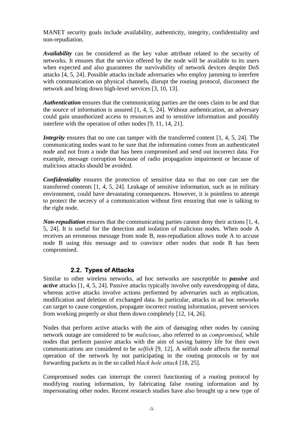MANET security goals include availability, authenticity, integrity, confidentiality and non-repudiation.

*Availability* can be considered as the key value attribute related to the security of networks. It ensures that the service offered by the node will be available to its users when expected and also guarantees the survivability of network devices despite DoS attacks [4, 5, 24]. Possible attacks include adversaries who employ jamming to interfere with communication on physical channels, disrupt the routing protocol, disconnect the network and bring down high-level services [3, 10, 13].

*Authentication* ensures that the communicating parties are the ones claim to be and that the source of information is assured  $[1, 4, 5, 24]$ . Without authentication, an adversary could gain unauthorized access to resources and to sensitive information and possibly interfere with the operation of other nodes [9, 11, 14, 21].

*Integrity* ensures that no one can tamper with the transferred content [1, 4, 5, 24]. The communicating nodes want to be sure that the information comes from an authenticated node and not from a node that has been compromised and send out incorrect data. For example, message corruption because of radio propagation impairment or because of malicious attacks should be avoided.

*Confidentiality* ensures the protection of sensitive data so that no one can see the transferred contents [1, 4, 5, 24]. Leakage of sensitive information, such as in military environment, could have devastating consequences. However, it is pointless to attempt to protect the secrecy of a communication without first ensuring that one is talking to the right node.

*Non-repudiation* ensures that the communicating parties cannot deny their actions [1, 4, 5, 24]. It is useful for the detection and isolation of malicious nodes. When node A receives an erroneous message from node B, non-repudiation allows node A to accuse node B using this message and to convince other nodes that node B has been compromised.

## **2.2. Types of Attacks**

Similar to other wireless networks, ad hoc networks are susceptible to *passive* and *active* attacks [1, 4, 5, 24]. Passive attacks typically involve only eavesdropping of data, whereas active attacks involve actions performed by adversaries such as replication, modification and deletion of exchanged data. In particular, attacks in ad hoc networks can target to cause congestion, propagate incorrect routing information, prevent services from working properly or shut them down completely [12, 14, 26].

Nodes that perform active attacks with the aim of damaging other nodes by causing network outage are considered to be *malicious*, also referred to as *compromised*, while nodes that perform passive attacks with the aim of saving battery life for their own communications are considered to be *selfish* [9, 12]. A selfish node affects the normal operation of the network by not participating in the routing protocols or by not forwarding packets as in the so called *black hole attack* [18, 25].

Compromised nodes can interrupt the correct functioning of a routing protocol by modifying routing information, by fabricating false routing information and by impersonating other nodes. Recent research studies have also brought up a new type of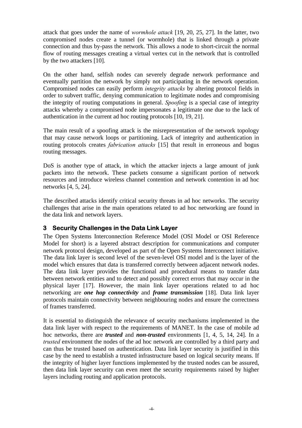attack that goes under the name of *wormhole attack* [19, 20, 25, 27]. In the latter, two compromised nodes create a tunnel (or wormhole) that is linked through a private connection and thus by-pass the network. This allows a node to short-circuit the normal flow of routing messages creating a virtual vertex cut in the network that is controlled by the two attackers [10].

On the other hand, selfish nodes can severely degrade network performance and eventually partition the network by simply not participating in the network operation. Compromised nodes can easily perform *integrity attacks* by altering protocol fields in order to subvert traffic, denying communication to legitimate nodes and compromising the integrity of routing computations in general. *Spoofing* is a special case of integrity attacks whereby a compromised node impersonates a legitimate one due to the lack of authentication in the current ad hoc routing protocols [10, 19, 21].

The main result of a spoofing attack is the misrepresentation of the network topology that may cause network loops or partitioning. Lack of integrity and authentication in routing protocols creates *fabrication attacks* [15] that result in erroneous and bogus routing messages.

DoS is another type of attack, in which the attacker injects a large amount of junk packets into the network. These packets consume a significant portion of network resources and introduce wireless channel contention and network contention in ad hoc networks [4, 5, 24].

The described attacks identify critical security threats in ad hoc networks. The security challenges that arise in the main operations related to ad hoc networking are found in the data link and network layers.

#### **3 Security Challenges in the Data Link Layer**

The Open Systems Interconnection Reference Model (OSI Model or OSI Reference Model for short) is a layered abstract description for communications and computer [network protocol](http://encyclopedia.laborlawtalk.com/Network_protocol) design, developed as part of the Open Systems Interconnect initiative. The data link layer is second level of the seven-level OSI model and is the layer of the model which ensures that data is transferred correctly between adjacent network nodes. The data link layer provides the functional and procedural means to [transfer](http://encyclopedia.laborlawtalk.com/Transfer) data between network entities and to detect and possibly correct errors that may occur in the physical layer [17]. However, the main link layer operations related to ad hoc networking are *one hop connectivity* and *frame transmission* [18]. Data link layer protocols maintain connectivity between neighbouring nodes and ensure the correctness of frames transferred.

It is essential to distinguish the relevance of security mechanisms implemented in the data link layer with respect to the requirements of MANET. In the case of mobile ad hoc networks, there are *trusted* and *non-trusted* environments [1, 4, 5, 14, 24]. In a *trusted* environment the nodes of the ad hoc network are controlled by a third party and can thus be trusted based on authentication. Data link layer security is justified in this case by the need to establish a trusted infrastructure based on logical security means. If the integrity of higher layer functions implemented by the trusted nodes can be assured, then data link layer security can even meet the security requirements raised by higher layers including routing and application protocols.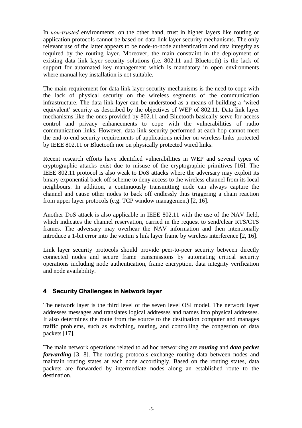In *non-trusted* environments, on the other hand, trust in higher layers like routing or application protocols cannot be based on data link layer security mechanisms. The only relevant use of the latter appears to be node-to-node authentication and data integrity as required by the routing layer. Moreover, the main constraint in the deployment of existing data link layer security solutions (i.e. 802.11 and Bluetooth) is the lack of support for automated key management which is mandatory in open environments where manual key installation is not suitable.

The main requirement for data link layer security mechanisms is the need to cope with the lack of physical security on the wireless segments of the communication infrastructure. The data link layer can be understood as a means of building a 'wired equivalent' security as described by the objectives of WEP of 802.11. Data link layer mechanisms like the ones provided by 802.11 and Bluetooth basically serve for access control and privacy enhancements to cope with the vulnerabilities of radio communication links. However, data link security performed at each hop cannot meet the end-to-end security requirements of applications neither on wireless links protected by IEEE 802.11 or Bluetooth nor on physically protected wired links.

Recent research efforts have identified vulnerabilities in WEP and several types of cryptographic attacks exist due to misuse of the cryptographic primitives [16]. The IEEE 802.11 protocol is also weak to DoS attacks where the adversary may exploit its binary exponential back-off scheme to deny access to the wireless channel from its local neighbours. In addition, a continuously transmitting node can always capture the channel and cause other nodes to back off endlessly thus triggering a chain reaction from upper layer protocols (e.g. TCP window management) [2, 16].

Another DoS attack is also applicable in IEEE 802.11 with the use of the NAV field, which indicates the channel reservation, carried in the request to send/clear RTS/CTS frames. The adversary may overhear the NAV information and then intentionally introduce a 1-bit error into the victim's link layer frame by wireless interference [2, 16].

Link layer security protocols should provide peer-to-peer security between directly connected nodes and secure frame transmissions by automating critical security operations including node authentication, frame encryption, data integrity verification and node availability.

## **4 Security Challenges in Network layer**

The network layer is the third level of the seven level OSI model. The network layer addresses messages and translates logical addresses and names into physical addresses. It also determines the route from the source to the destination computer and manages traffic problems, such as switching, routing, and controlling the congestion of data packets [17].

The main network operations related to ad hoc networking are *routing* and *data packet forwarding* [3, 8]. The routing protocols exchange routing data between nodes and maintain routing states at each node accordingly. Based on the routing states, data packets are forwarded by intermediate nodes along an established route to the destination.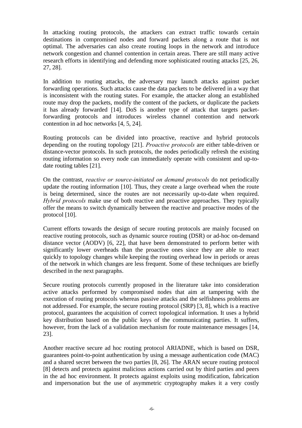In attacking routing protocols, the attackers can extract traffic towards certain destinations in compromised nodes and forward packets along a route that is not optimal. The adversaries can also create routing loops in the network and introduce network congestion and channel contention in certain areas. There are still many active research efforts in identifying and defending more sophisticated routing attacks [25, 26, 27, 28].

In addition to routing attacks, the adversary may launch attacks against packet forwarding operations. Such attacks cause the data packets to be delivered in a way that is inconsistent with the routing states. For example, the attacker along an established route may drop the packets, modify the content of the packets, or duplicate the packets it has already forwarded [14]. DoS is another type of attack that targets packetforwarding protocols and introduces wireless channel contention and network contention in ad hoc networks [4, 5, 24].

Routing protocols can be divided into proactive, reactive and hybrid protocols depending on the routing topology [21]. *Proactive protocols* are either table-driven or distance-vector protocols. In such protocols, the nodes periodically refresh the existing routing information so every node can immediately operate with consistent and up-todate routing tables [21].

On the contrast, *reactive or source-initiated on demand protocols* do not periodically update the routing information [10]. Thus, they create a large overhead when the route is being determined, since the routes are not necessarily up-to-date when required. *Hybrid protocols* make use of both reactive and proactive approaches. They typically offer the means to switch dynamically between the reactive and proactive modes of the protocol [10].

Current efforts towards the design of secure routing protocols are mainly focused on reactive routing protocols, such as dynamic source routing (DSR) or ad-hoc on-demand distance vector (AODV) [6, 22], that have been demonstrated to perform better with significantly lower overheads than the proactive ones since they are able to react quickly to topology changes while keeping the routing overhead low in periods or areas of the network in which changes are less frequent. Some of these techniques are briefly described in the next paragraphs.

Secure routing protocols currently proposed in the literature take into consideration active attacks performed by compromised nodes that aim at tampering with the execution of routing protocols whereas passive attacks and the selfishness problems are not addressed. For example, the secure routing protocol (SRP) [3, 8], which is a reactive protocol, guarantees the acquisition of correct topological information. It uses a hybrid key distribution based on the public keys of the communicating parties. It suffers, however, from the lack of a validation mechanism for route maintenance messages [14, 23].

Another reactive secure ad hoc routing protocol ARIADNE, which is based on DSR, guarantees point-to-point authentication by using a message authentication code (MAC) and a shared secret between the two parties [8, 26]. The ARAN secure routing protocol [8] detects and protects against malicious actions carried out by third parties and peers in the ad hoc environment. It protects against exploits using modification, fabrication and impersonation but the use of asymmetric cryptography makes it a very costly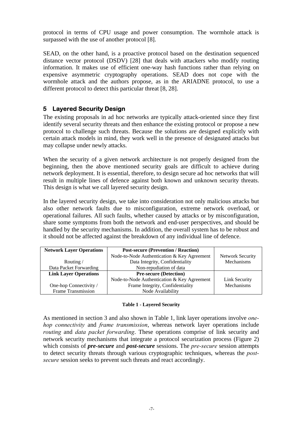protocol in terms of CPU usage and power consumption. The wormhole attack is surpassed with the use of another protocol [8].

SEAD, on the other hand, is a proactive protocol based on the destination sequenced distance vector protocol (DSDV) [28] that deals with attackers who modify routing information. It makes use of efficient one-way hash functions rather than relying on expensive asymmetric cryptography operations. SEAD does not cope with the wormhole attack and the authors propose, as in the ARIADNE protocol, to use a different protocol to detect this particular threat [8, 28].

## **5 Layered Security Design**

The existing proposals in ad hoc networks are typically attack-oriented since they first identify several security threats and then enhance the existing protocol or propose a new protocol to challenge such threats. Because the solutions are designed explicitly with certain attack models in mind, they work well in the presence of designated attacks but may collapse under newly attacks.

When the security of a given network architecture is not properly designed from the beginning, then the above mentioned security goals are difficult to achieve during network deployment. It is essential, therefore, to design secure ad hoc networks that will result in multiple lines of defence against both known and unknown security threats. This design is what we call layered security design.

In the layered security design, we take into consideration not only malicious attacks but also other network faults due to misconfiguration, extreme network overload, or operational failures. All such faults, whether caused by attacks or by misconfiguration, share some symptoms from both the network and end-user perspectives, and should be handled by the security mechanisms. In addition, the overall system has to be robust and it should not be affected against the breakdown of any individual line of defence.

| <b>Network Layer Operations</b> | <b>Post-secure (Prevention / Reaction)</b>  |                         |
|---------------------------------|---------------------------------------------|-------------------------|
|                                 | Node-to-Node Authentication & Key Agreement | <b>Network Security</b> |
| Routing/                        | Data Integrity, Confidentiality             | Mechanisms              |
| Data Packet Forwarding          | Non-repudiation of data                     |                         |
| <b>Link Layer Operations</b>    | <b>Pre-secure (Detection)</b>               |                         |
|                                 | Node-to-Node Authentication & Key Agreement | Link Security           |
| One-hop Connectivity /          | Frame Integrity, Confidentiality            | <b>Mechanisms</b>       |
| Frame Transmission              | Node Availability                           |                         |

#### **Table 1 - Layered Security**

As mentioned in section 3 and also shown in Table 1, link layer operations involve *onehop connectivity* and *frame transmission*, whereas network layer operations include *routing* and *data packet forwarding*. These operations comprise of link security and network security mechanisms that integrate a protocol securization process (Figure 2) which consists of *pre-secure* and *post-secure* sessions. The *pre-secure* session attempts to detect security threats through various cryptographic techniques, whereas the *postsecure* session seeks to prevent such threats and react accordingly.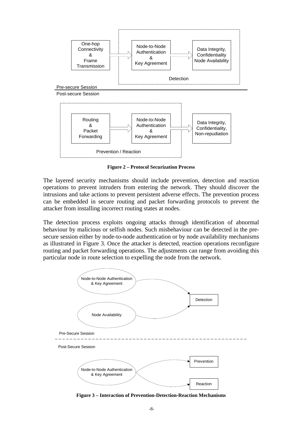

**Figure 2 – Protocol Securization Process**

The layered security mechanisms should include prevention, detection and reaction operations to prevent intruders from entering the network. They should discover the intrusions and take actions to prevent persistent adverse effects. The prevention process can be embedded in secure routing and packet forwarding protocols to prevent the attacker from installing incorrect routing states at nodes.

The detection process exploits ongoing attacks through identification of abnormal behaviour by malicious or selfish nodes. Such misbehaviour can be detected in the presecure session either by node-to-node authentication or by node availability mechanisms as illustrated in Figure 3. Once the attacker is detected, reaction operations reconfigure routing and packet forwarding operations. The adjustments can range from avoiding this particular node in route selection to expelling the node from the network.



**Figure 3 – Interaction of Prevention-Detection-Reaction Mechanisms**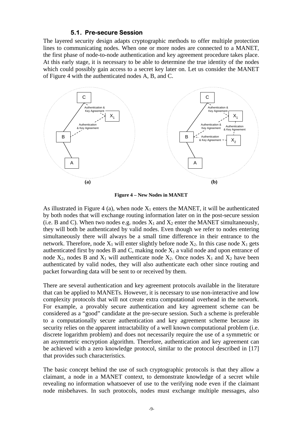#### **5.1. Pre-secure Session**

The layered security design adapts cryptographic methods to offer multiple protection lines to communicating nodes. When one or more nodes are connected to a MANET, the first phase of node-to-node authentication and key agreement procedure takes place. At this early stage, it is necessary to be able to determine the true identity of the nodes which could possibly gain access to a secret key later on. Let us consider the MANET of Figure 4 with the authenticated nodes A, B, and C.



**Figure 4 – New Nodes in MANET**

As illustrated in Figure 4 (a), when node  $X_1$  enters the MANET, it will be authenticated by both nodes that will exchange routing information later on in the post-secure session (i.e. B and C). When two nodes e.g. nodes  $X_1$  and  $X_2$  enter the MANET simultaneously, they will both be authenticated by valid nodes. Even though we refer to nodes entering simultaneously there will always be a small time difference in their entrance to the network. Therefore, node  $X_1$  will enter slightly before node  $X_2$ . In this case node  $X_1$  gets authenticated first by nodes B and C, making node  $X_1$  a valid node and upon entrance of node  $X_2$ , nodes B and  $X_1$  will authenticate node  $X_2$ . Once nodes  $X_1$  and  $X_2$  have been authenticated by valid nodes, they will also authenticate each other since routing and packet forwarding data will be sent to or received by them.

There are several authentication and key agreement protocols available in the literature that can be applied to MANETs. However, it is necessary to use non-interactive and low complexity protocols that will not create extra computational overhead in the network. For example, a provably secure authentication and key agreement scheme can be considered as a "good" candidate at the pre-secure session. Such a scheme is preferable to a computationally secure authentication and key agreement scheme because its security relies on the apparent intractability of a well known computational problem (i.e. discrete logarithm problem) and does not necessarily require the use of a symmetric or an asymmetric encryption algorithm. Therefore, authentication and key agreement can be achieved with a zero knowledge protocol, similar to the protocol described in [17] that provides such characteristics.

The basic concept behind the use of such cryptographic protocols is that they allow a claimant, a node in a MANET context, to demonstrate knowledge of a secret while revealing no information whatsoever of use to the verifying node even if the claimant node misbehaves. In such protocols, nodes must exchange multiple messages, also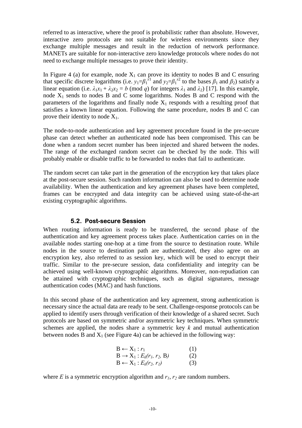referred to as interactive, where the proof is probabilistic rather than absolute. However, interactive zero protocols are not suitable for wireless environments since they exchange multiple messages and result in the reduction of network performance. MANETs are suitable for non-interactive zero knowledge protocols where nodes do not need to exchange multiple messages to prove their identity.

In Figure 4 (a) for example, node  $X_1$  can prove its identity to nodes B and C ensuring that specific discrete logarithms (i.e.  $y_1 = \beta_1^{x_1}$  and  $y_2 = \beta_1^{x_2}$  to the bases  $\beta_1$  and  $\beta_2$ ) satisfy a linear equation (i.e.  $\lambda_1 x_1 + \lambda_2 x_2 = b \pmod{q}$  for integers  $\lambda_1$  and  $\lambda_2$ ) [17]. In this example, node  $X_1$  sends to nodes B and C some logarithms. Nodes B and C respond with the parameters of the logarithms and finally node  $X_1$  responds with a resulting proof that satisfies a known linear equation. Following the same procedure, nodes B and C can prove their identity to node  $X_1$ .

The node-to-node authentication and key agreement procedure found in the pre-secure phase can detect whether an authenticated node has been compromised. This can be done when a random secret number has been injected and shared between the nodes. The range of the exchanged random secret can be checked by the node. This will probably enable or disable traffic to be forwarded to nodes that fail to authenticate.

The random secret can take part in the generation of the encryption key that takes place at the post-secure session. Such random information can also be used to determine node availability. When the authentication and key agreement phases have been completed, frames can be encrypted and data integrity can be achieved using state-of-the-art existing cryptographic algorithms.

#### **5.2. Post-secure Session**

When routing information is ready to be transferred, the second phase of the authentication and key agreement process takes place. Authentication carries on in the available nodes starting one-hop at a time from the source to destination route. While nodes in the source to destination path are authenticated, they also agree on an encryption key, also referred to as session key, which will be used to encrypt their traffic. Similar to the pre-secure session, data confidentiality and integrity can be achieved using well-known cryptographic algorithms. Moreover, non-repudiation can be attained with cryptographic techniques, such as digital signatures, message authentication codes (MAC) and hash functions.

In this second phase of the authentication and key agreement, strong authentication is necessary since the actual data are ready to be sent. Challenge-response protocols can be applied to identify users through verification of their knowledge of a shared secret. Such protocols are based on symmetric and/or asymmetric key techniques. When symmetric schemes are applied, the nodes share a symmetric key *k* and mutual authentication between nodes B and  $X_1$  (see Figure 4a) can be achieved in the following way:

$$
B \leftarrow X_1 : r_1 \qquad (1)
$$
  
\n
$$
B \rightarrow X_1 : E_k(r_1, r_2, B) \qquad (2)
$$
  
\n
$$
B \leftarrow X_1 : E_k(r_2, r_1) \qquad (3)
$$

where  $E$  is a symmetric encryption algorithm and  $r_1$ ,  $r_2$  are random numbers.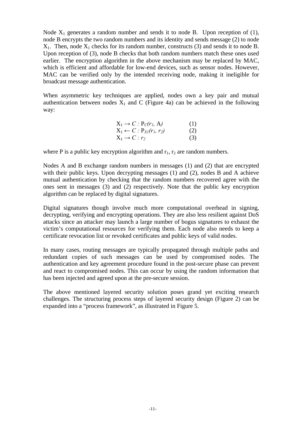Node  $X_1$  generates a random number and sends it to node B. Upon reception of (1), node B encrypts the two random numbers and its identity and sends message (2) to node  $X_1$ . Then, node  $X_1$  checks for its random number, constructs (3) and sends it to node B. Upon reception of (3), node B checks that both random numbers match these ones used earlier. The encryption algorithm in the above mechanism may be replaced by MAC, which is efficient and affordable for low-end devices, such as sensor nodes. However, MAC can be verified only by the intended receiving node, making it ineligible for broadcast message authentication.

When asymmetric key techniques are applied, nodes own a key pair and mutual authentication between nodes  $X_1$  and C (Figure 4a) can be achieved in the following way:

| $X_1 \rightarrow C$ : $P_C(r_l, A)$   | (1) |
|---------------------------------------|-----|
| $X_1 \leftarrow C : P_{XI}(r_1, r_2)$ | (2) |
| $X_1 \rightarrow C : r_2$             | (3) |

where P is a public key encryption algorithm and  $r_1$ ,  $r_2$  are random numbers.

Nodes A and B exchange random numbers in messages (1) and (2) that are encrypted with their public keys. Upon decrypting messages (1) and (2), nodes B and A achieve mutual authentication by checking that the random numbers recovered agree with the ones sent in messages (3) and (2) respectively. Note that the public key encryption algorithm can be replaced by digital signatures.

Digital signatures though involve much more computational overhead in signing, decrypting, verifying and encrypting operations. They are also less resilient against DoS attacks since an attacker may launch a large number of bogus signatures to exhaust the victim's computational resources for verifying them. Each node also needs to keep a certificate revocation list or revoked certificates and public keys of valid nodes.

In many cases, routing messages are typically propagated through multiple paths and redundant copies of such messages can be used by compromised nodes. The authentication and key agreement procedure found in the post-secure phase can prevent and react to compromised nodes. This can occur by using the random information that has been injected and agreed upon at the pre-secure session.

The above mentioned layered security solution poses grand yet exciting research challenges. The structuring process steps of layered security design (Figure 2) can be expanded into a "process framework", as illustrated in Figure 5.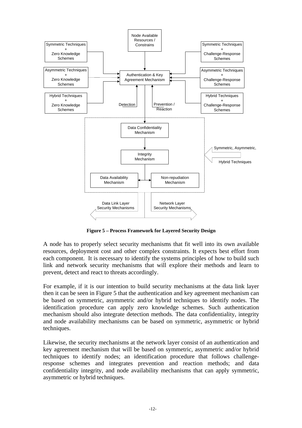

**Figure 5 – Process Framework for Layered Security Design**

A node has to properly select security mechanisms that fit well into its own available resources, deployment cost and other complex constraints. It expects best effort from each component. It is necessary to identify the systems principles of how to build such link and network security mechanisms that will explore their methods and learn to prevent, detect and react to threats accordingly.

For example, if it is our intention to build security mechanisms at the data link layer then it can be seen in Figure 5 that the authentication and key agreement mechanism can be based on symmetric, asymmetric and/or hybrid techniques to identify nodes. The identification procedure can apply zero knowledge schemes. Such authentication mechanism should also integrate detection methods. The data confidentiality, integrity and node availability mechanisms can be based on symmetric, asymmetric or hybrid techniques.

Likewise, the security mechanisms at the network layer consist of an authentication and key agreement mechanism that will be based on symmetric, asymmetric and/or hybrid techniques to identify nodes; an identification procedure that follows challengeresponse schemes and integrates prevention and reaction methods; and data confidentiality integrity, and node availability mechanisms that can apply symmetric, asymmetric or hybrid techniques.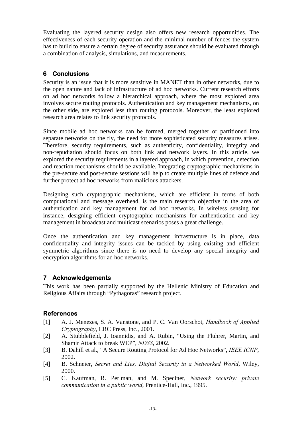Evaluating the layered security design also offers new research opportunities. The effectiveness of each security operation and the minimal number of fences the system has to build to ensure a certain degree of security assurance should be evaluated through a combination of analysis, simulations, and measurements.

## **6 Conclusions**

Security is an issue that it is more sensitive in MANET than in other networks, due to the open nature and lack of infrastructure of ad hoc networks. Current research efforts on ad hoc networks follow a hierarchical approach, where the most explored area involves secure routing protocols. Authentication and key management mechanisms, on the other side, are explored less than routing protocols. Moreover, the least explored research area relates to link security protocols.

Since mobile ad hoc networks can be formed, merged together or partitioned into separate networks on the fly, the need for more sophisticated security measures arises. Therefore, security requirements, such as authenticity, confidentiality, integrity and non-repudiation should focus on both link and network layers. In this article, we explored the security requirements in a layered approach, in which prevention, detection and reaction mechanisms should be available. Integrating cryptographic mechanisms in the pre-secure and post-secure sessions will help to create multiple lines of defence and further protect ad hoc networks from malicious attackers.

Designing such cryptographic mechanisms, which are efficient in terms of both computational and message overhead, is the main research objective in the area of authentication and key management for ad hoc networks. In wireless sensing for instance, designing efficient cryptographic mechanisms for authentication and key management in broadcast and multicast scenarios poses a great challenge.

Once the authentication and key management infrastructure is in place, data confidentiality and integrity issues can be tackled by using existing and efficient symmetric algorithms since there is no need to develop any special integrity and encryption algorithms for ad hoc networks.

## **7 Acknowledgements**

This work has been partially supported by the Hellenic Ministry of Education and Religious Affairs through "Pythagoras" research project.

## **References**

- [1] [A. J. Menezes, S. A. Vanstone, and P. C. Van Oorschot,](https://portal.acm.org/poplogin.cfm?dl=GUIDE&coll=GUIDE&comp_id=COMPONENT030&want_href=citation%2Ecfm%3Fid%3D548089&CFID=28510644&CFTOKEN=33071542) *Handbook of Applied Cryptography*[, CRC Press, Inc., 2001.](https://portal.acm.org/poplogin.cfm?dl=GUIDE&coll=GUIDE&comp_id=COMPONENT030&want_href=citation%2Ecfm%3Fid%3D548089&CFID=28510644&CFTOKEN=33071542)
- [2] A. Stubblefield, J. Ioannidis, and A. Rubin, "Using the Fluhrer, Martin, and Shamir Attack to break WEP", *NDSS*, 2002.
- [3] [B. Dahill et al., "A Secure Routing Protocol for Ad Hoc Networks",](https://portal.acm.org/poplogin.cfm?dl=GUIDE&coll=GUIDE&comp_id=COMPONENT030&want_href=citation%2Ecfm%3Fid%3D896703&CFID=28510644&CFTOKEN=33071542) *IEEE ICNP*, [2002.](https://portal.acm.org/poplogin.cfm?dl=GUIDE&coll=GUIDE&comp_id=COMPONENT030&want_href=citation%2Ecfm%3Fid%3D896703&CFID=28510644&CFTOKEN=33071542)
- [4] B. Schneier, *Secret and Lies, Digital Security in a Networked World*, Wiley, 2000.
- [5] [C. Kaufman, R. Perlman, and M. Speciner,](https://portal.acm.org/poplogin.cfm?dl=GUIDE&coll=GUIDE&comp_id=COMPONENT030&want_href=citation%2Ecfm%3Fid%3D193192&CFID=28510644&CFTOKEN=33071542) *Network security: private [communication in a public world](https://portal.acm.org/poplogin.cfm?dl=GUIDE&coll=GUIDE&comp_id=COMPONENT030&want_href=citation%2Ecfm%3Fid%3D193192&CFID=28510644&CFTOKEN=33071542)*, Prentice-Hall, Inc., 1995.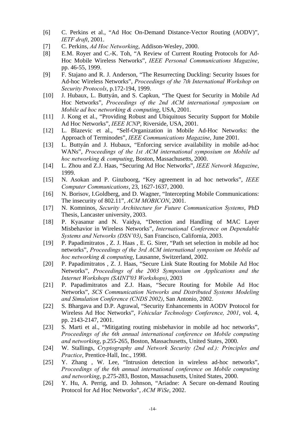- [6] C. Perkins et al., "Ad Hoc On-Demand Distance-Vector Routing (AODV)", *IETF draft*, 2001.
- [7] C. Perkins, *Ad Hoc Networking*, Addison-Wesley, 2000.
- [8] E.M. Royer and C.-K. Toh, "A Review of Current Routing Protocols for Ad-Hoc Mobile Wireless Networks", *IEEE Personal Communications Magazine*, pp. 46-55, 1999.
- [9] [F. Stajano and R. J. Anderson, "The Resurrecting Duckling: Security Issues for](https://portal.acm.org/poplogin.cfm?dl=GUIDE&coll=GUIDE&comp_id=COMPONENT030&want_href=citation%2Ecfm%3Fid%3D760118&CFID=28510644&CFTOKEN=33071542)  Ad-hoc Wireless Networks", *[Proceedings of the 7th International Workshop on](https://portal.acm.org/poplogin.cfm?dl=GUIDE&coll=GUIDE&comp_id=COMPONENT030&want_href=citation%2Ecfm%3Fid%3D760118&CFID=28510644&CFTOKEN=33071542)  Security Protocols*[, p.172-194, 1999.](https://portal.acm.org/poplogin.cfm?dl=GUIDE&coll=GUIDE&comp_id=COMPONENT030&want_href=citation%2Ecfm%3Fid%3D760118&CFID=28510644&CFTOKEN=33071542)
- [10] [J. Hubaux, L. Buttyán, and S. Capkun, "The Quest for Security in Mobile Ad](https://portal.acm.org/poplogin.cfm?dl=GUIDE&coll=GUIDE&comp_id=COMPONENT030&want_href=citation%2Ecfm%3Fid%3D501437&CFID=28510644&CFTOKEN=33071542)  Hoc Networks", *[Proceedings of the 2nd ACM international symposium on](https://portal.acm.org/poplogin.cfm?dl=GUIDE&coll=GUIDE&comp_id=COMPONENT030&want_href=citation%2Ecfm%3Fid%3D501437&CFID=28510644&CFTOKEN=33071542)  [Mobile ad hoc networking & computing](https://portal.acm.org/poplogin.cfm?dl=GUIDE&coll=GUIDE&comp_id=COMPONENT030&want_href=citation%2Ecfm%3Fid%3D501437&CFID=28510644&CFTOKEN=33071542)*, USA, 2001.
- [11] J. Kong et al., "Providing Robust and Ubiquitous Security Support for Mobile Ad Hoc Networks", *IEEE ICNP*, Riverside, USA, 2001.
- [12] L. Blazevic et al., "Self-Organization in Mobile Ad-Hoc Networks: the Approach of Terminodes", *IEEE Communications Magazine*, June 2001.
- [13] [L. Buttyán and J. Hubaux, "Enforcing service availability in mobile ad-hoc](https://portal.acm.org/poplogin.cfm?dl=GUIDE&coll=GUIDE&comp_id=COMPONENT030&want_href=citation%2Ecfm%3Fid%3D514164&CFID=28510644&CFTOKEN=33071542)  WANs", *[Proceedings of the 1st ACM international symposium on Mobile ad](https://portal.acm.org/poplogin.cfm?dl=GUIDE&coll=GUIDE&comp_id=COMPONENT030&want_href=citation%2Ecfm%3Fid%3D514164&CFID=28510644&CFTOKEN=33071542)  hoc networking & computing*[, Boston, Massachusetts, 2000.](https://portal.acm.org/poplogin.cfm?dl=GUIDE&coll=GUIDE&comp_id=COMPONENT030&want_href=citation%2Ecfm%3Fid%3D514164&CFID=28510644&CFTOKEN=33071542)
- [14] L. Zhou and Z.J. Haas, "Securing Ad Hoc Networks", *IEEE Network Magazine*, 1999.
- [15] N. Asokan and P. Ginzboorg, "Key agreement in ad hoc networks", *IEEE Computer Communications*, 23, 1627-1637, 2000.
- [16] N. Borisov, I.Goldberg, and D. Wagner, "Intercepting Mobile Communications: The insecurity of 802.11", *ACM MOBICON*, 2001.
- [17] N. Komninos, *Security Architecture for Future Communication Systems*, PhD Thesis, Lancaster university, 2003.
- [18] P. Kyasanur and N. Vaidya, "Detection and Handling of MAC Layer Misbehavior in Wireless Networks", *International Conference on Dependable Systems and Networks (DSN'03)*, San Francisco, California, 2003.
- [19] [P. Papadimitratos , Z. J. Haas , E. G. Sirer, "Path set selection in mobile ad hoc](https://portal.acm.org/poplogin.cfm?dl=GUIDE&coll=GUIDE&comp_id=COMPONENT030&want_href=citation%2Ecfm%3Fid%3D513802&CFID=28510644&CFTOKEN=33071542) networks", *[Proceedings of the 3rd ACM international symposium on Mobile ad](https://portal.acm.org/poplogin.cfm?dl=GUIDE&coll=GUIDE&comp_id=COMPONENT030&want_href=citation%2Ecfm%3Fid%3D513802&CFID=28510644&CFTOKEN=33071542)  hoc networking & computing*[, Lausanne, Switzerland, 2002.](https://portal.acm.org/poplogin.cfm?dl=GUIDE&coll=GUIDE&comp_id=COMPONENT030&want_href=citation%2Ecfm%3Fid%3D513802&CFID=28510644&CFTOKEN=33071542)
- [20] [P. Papadimitratos , Z. J. Haas, "Secure Link State Routing for Mobile Ad Hoc](https://portal.acm.org/poplogin.cfm?dl=GUIDE&coll=GUIDE&comp_id=COMPONENT030&want_href=citation%2Ecfm%3Fid%3D829377&CFID=28510644&CFTOKEN=33071542) Networks", *[Proceedings of the 2003 Symposium on Applications and the](https://portal.acm.org/poplogin.cfm?dl=GUIDE&coll=GUIDE&comp_id=COMPONENT030&want_href=citation%2Ecfm%3Fid%3D829377&CFID=28510644&CFTOKEN=33071542)  [Internet Workshops \(SAINT'03 Workshops\)](https://portal.acm.org/poplogin.cfm?dl=GUIDE&coll=GUIDE&comp_id=COMPONENT030&want_href=citation%2Ecfm%3Fid%3D829377&CFID=28510644&CFTOKEN=33071542)*, 2003
- [21] P. Papadimitratos and Z.J. Haas, "Secure Routing for Mobile Ad Hoc Networks", *SCS Communication Networks and Distributed Systems Modeling and Simulation Conference (CNDS 2002)*, San Antonio, 2002.
- [22] S. Bhargava and D.P. Agrawal, "Security Enhancements in AODV Protocol for Wireless Ad Hoc Networks", *Vehicular Technology Conference, 2001*, vol. 4, pp. 2143-2147, 2001.
- [23] [S. Marti et al., "Mitigating routing misbehavior in mobile ad hoc networks",](https://portal.acm.org/poplogin.cfm?dl=GUIDE&coll=GUIDE&comp_id=COMPONENT030&want_href=citation%2Ecfm%3Fid%3D345955&CFID=28510644&CFTOKEN=33071542)  *[Proceedings of the 6th annual international conference on Mobile computing](https://portal.acm.org/poplogin.cfm?dl=GUIDE&coll=GUIDE&comp_id=COMPONENT030&want_href=citation%2Ecfm%3Fid%3D345955&CFID=28510644&CFTOKEN=33071542)  and networking*[, p.255-265, Boston, Massachusetts, United States, 2000.](https://portal.acm.org/poplogin.cfm?dl=GUIDE&coll=GUIDE&comp_id=COMPONENT030&want_href=citation%2Ecfm%3Fid%3D345955&CFID=28510644&CFTOKEN=33071542)
- [24] W. Stallings, *[Cryptography and Network Security \(2nd ed.\): Principles and](https://portal.acm.org/poplogin.cfm?dl=GUIDE&coll=GUIDE&comp_id=COMPONENT030&want_href=citation%2Ecfm%3Fid%3D280574&CFID=28510644&CFTOKEN=33071542)  Practice*[, Prentice-Hall, Inc., 1998.](https://portal.acm.org/poplogin.cfm?dl=GUIDE&coll=GUIDE&comp_id=COMPONENT030&want_href=citation%2Ecfm%3Fid%3D280574&CFID=28510644&CFTOKEN=33071542)
- [25] [Y. Zhang , W. Lee, "Intrusion detection in wireless ad-hoc networks",](https://portal.acm.org/poplogin.cfm?dl=GUIDE&coll=GUIDE&comp_id=COMPONENT030&want_href=citation%2Ecfm%3Fid%3D345958&CFID=28510644&CFTOKEN=33071542)  *[Proceedings of the 6th annual international conference on Mobile computing](https://portal.acm.org/poplogin.cfm?dl=GUIDE&coll=GUIDE&comp_id=COMPONENT030&want_href=citation%2Ecfm%3Fid%3D345958&CFID=28510644&CFTOKEN=33071542)  and networking*[, p.275-283, Boston, Massachusetts, United States, 2000.](https://portal.acm.org/poplogin.cfm?dl=GUIDE&coll=GUIDE&comp_id=COMPONENT030&want_href=citation%2Ecfm%3Fid%3D345958&CFID=28510644&CFTOKEN=33071542)
- [26] Y. Hu, A. Perrig, and D. Johnson, "Ariadne: A Secure on-demand Routing Protocol for Ad Hoc Networks", *ACM WiSe*, 2002.